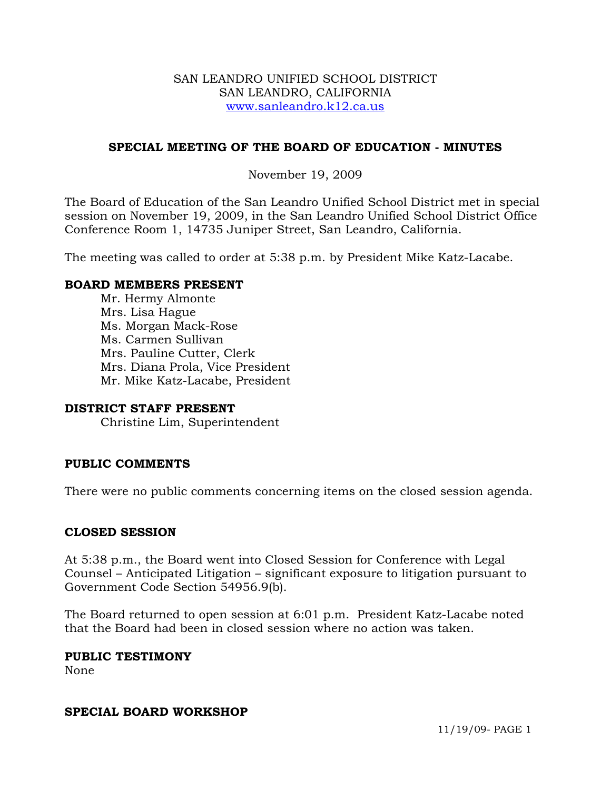#### SAN LEANDRO UNIFIED SCHOOL DISTRICT SAN LEANDRO, CALIFORNIA www.sanleandro.k12.ca.us

### **SPECIAL MEETING OF THE BOARD OF EDUCATION - MINUTES**

#### November 19, 2009

The Board of Education of the San Leandro Unified School District met in special session on November 19, 2009, in the San Leandro Unified School District Office Conference Room 1, 14735 Juniper Street, San Leandro, California.

The meeting was called to order at 5:38 p.m. by President Mike Katz-Lacabe.

#### **BOARD MEMBERS PRESENT**

Mr. Hermy Almonte Mrs. Lisa Hague Ms. Morgan Mack-Rose Ms. Carmen Sullivan Mrs. Pauline Cutter, Clerk Mrs. Diana Prola, Vice President Mr. Mike Katz-Lacabe, President

#### **DISTRICT STAFF PRESENT**

Christine Lim, Superintendent

### **PUBLIC COMMENTS**

There were no public comments concerning items on the closed session agenda.

### **CLOSED SESSION**

At 5:38 p.m., the Board went into Closed Session for Conference with Legal Counsel – Anticipated Litigation – significant exposure to litigation pursuant to Government Code Section 54956.9(b).

The Board returned to open session at 6:01 p.m. President Katz-Lacabe noted that the Board had been in closed session where no action was taken.

#### **PUBLIC TESTIMONY**

None

#### **SPECIAL BOARD WORKSHOP**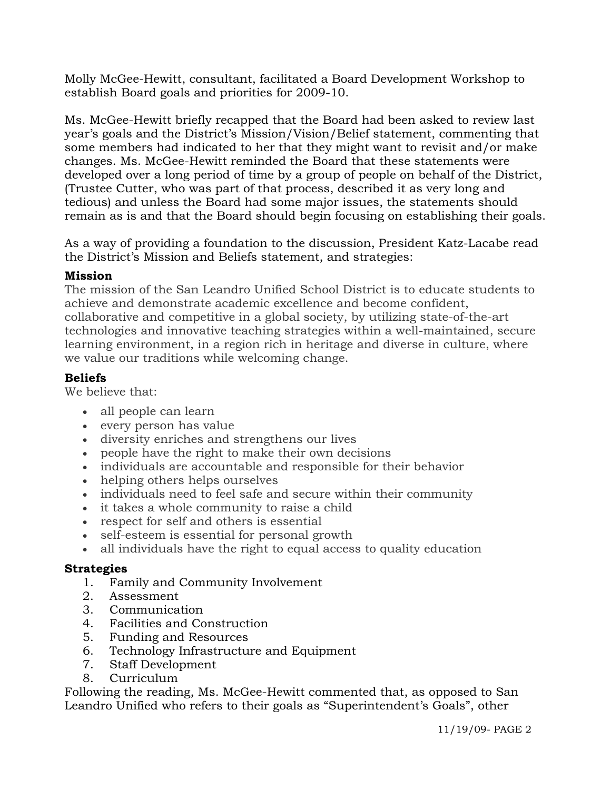Molly McGee-Hewitt, consultant, facilitated a Board Development Workshop to establish Board goals and priorities for 2009-10.

Ms. McGee-Hewitt briefly recapped that the Board had been asked to review last year's goals and the District's Mission/Vision/Belief statement, commenting that some members had indicated to her that they might want to revisit and/or make changes. Ms. McGee-Hewitt reminded the Board that these statements were developed over a long period of time by a group of people on behalf of the District, (Trustee Cutter, who was part of that process, described it as very long and tedious) and unless the Board had some major issues, the statements should remain as is and that the Board should begin focusing on establishing their goals.

As a way of providing a foundation to the discussion, President Katz-Lacabe read the District's Mission and Beliefs statement, and strategies:

### **Mission**

The mission of the San Leandro Unified School District is to educate students to achieve and demonstrate academic excellence and become confident, collaborative and competitive in a global society, by utilizing state-of-the-art technologies and innovative teaching strategies within a well-maintained, secure learning environment, in a region rich in heritage and diverse in culture, where we value our traditions while welcoming change.

## **Beliefs**

We believe that:

- all people can learn
- every person has value
- diversity enriches and strengthens our lives
- people have the right to make their own decisions
- individuals are accountable and responsible for their behavior
- helping others helps ourselves
- individuals need to feel safe and secure within their community
- it takes a whole community to raise a child
- respect for self and others is essential
- self-esteem is essential for personal growth
- all individuals have the right to equal access to quality education

## **Strategies**

- 1. Family and Community Involvement
- 2. Assessment
- 3. Communication
- 4. Facilities and Construction
- 5. Funding and Resources
- 6. Technology Infrastructure and Equipment
- 7. Staff Development
- 8. Curriculum

Following the reading, Ms. McGee-Hewitt commented that, as opposed to San Leandro Unified who refers to their goals as "Superintendent's Goals", other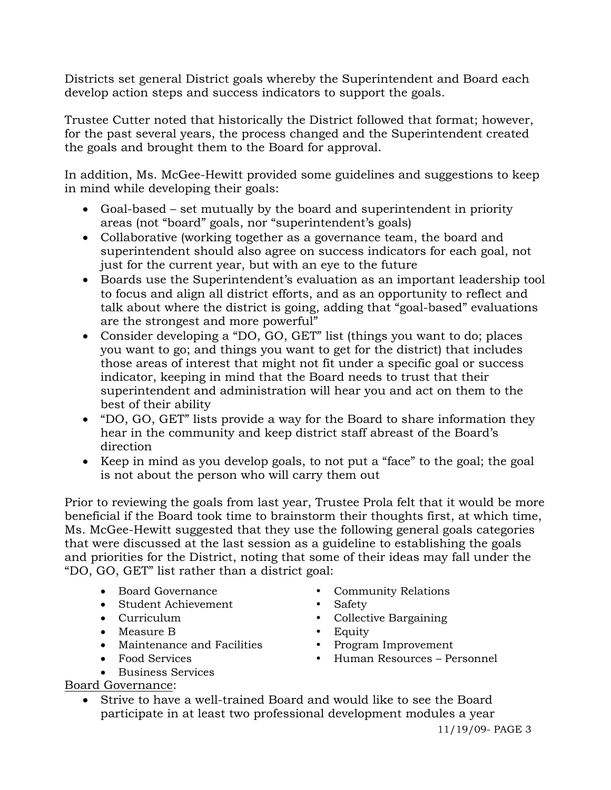Districts set general District goals whereby the Superintendent and Board each develop action steps and success indicators to support the goals.

Trustee Cutter noted that historically the District followed that format; however, for the past several years, the process changed and the Superintendent created the goals and brought them to the Board for approval.

In addition, Ms. McGee-Hewitt provided some guidelines and suggestions to keep in mind while developing their goals:

- Goal-based set mutually by the board and superintendent in priority areas (not "board" goals, nor "superintendent's goals)
- Collaborative (working together as a governance team, the board and superintendent should also agree on success indicators for each goal, not just for the current year, but with an eye to the future
- Boards use the Superintendent's evaluation as an important leadership tool to focus and align all district efforts, and as an opportunity to reflect and talk about where the district is going, adding that "goal-based" evaluations are the strongest and more powerful"
- Consider developing a "DO, GO, GET" list (things you want to do; places you want to go; and things you want to get for the district) that includes those areas of interest that might not fit under a specific goal or success indicator, keeping in mind that the Board needs to trust that their superintendent and administration will hear you and act on them to the best of their ability
- "DO, GO, GET" lists provide a way for the Board to share information they hear in the community and keep district staff abreast of the Board's direction
- Keep in mind as you develop goals, to not put a "face" to the goal; the goal is not about the person who will carry them out

Prior to reviewing the goals from last year, Trustee Prola felt that it would be more beneficial if the Board took time to brainstorm their thoughts first, at which time, Ms. McGee-Hewitt suggested that they use the following general goals categories that were discussed at the last session as a guideline to establishing the goals and priorities for the District, noting that some of their ideas may fall under the "DO, GO, GET" list rather than a district goal:

- Board Governance Community Relations
- Student Achievement Safety
- Curriculum Collective Bargaining
- 
- Maintenance and Facilities Program Improvement
- 
- Business Services Board Governance:

• Measure B y Equity

- 
- Food Services y Human Resources Personnel
- Strive to have a well-trained Board and would like to see the Board participate in at least two professional development modules a year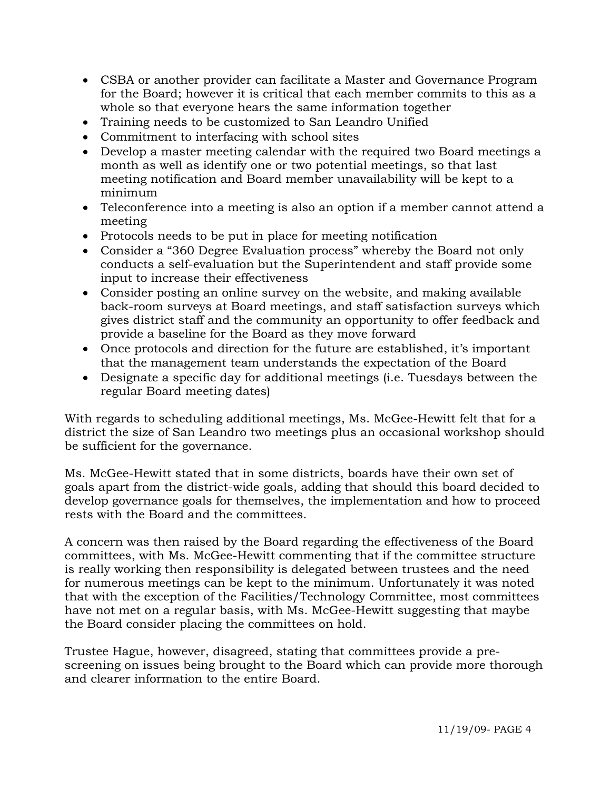- CSBA or another provider can facilitate a Master and Governance Program for the Board; however it is critical that each member commits to this as a whole so that everyone hears the same information together
- Training needs to be customized to San Leandro Unified
- Commitment to interfacing with school sites
- Develop a master meeting calendar with the required two Board meetings a month as well as identify one or two potential meetings, so that last meeting notification and Board member unavailability will be kept to a minimum
- Teleconference into a meeting is also an option if a member cannot attend a meeting
- Protocols needs to be put in place for meeting notification
- Consider a "360 Degree Evaluation process" whereby the Board not only conducts a self-evaluation but the Superintendent and staff provide some input to increase their effectiveness
- Consider posting an online survey on the website, and making available back-room surveys at Board meetings, and staff satisfaction surveys which gives district staff and the community an opportunity to offer feedback and provide a baseline for the Board as they move forward
- Once protocols and direction for the future are established, it's important that the management team understands the expectation of the Board
- Designate a specific day for additional meetings (i.e. Tuesdays between the regular Board meeting dates)

With regards to scheduling additional meetings, Ms. McGee-Hewitt felt that for a district the size of San Leandro two meetings plus an occasional workshop should be sufficient for the governance.

Ms. McGee-Hewitt stated that in some districts, boards have their own set of goals apart from the district-wide goals, adding that should this board decided to develop governance goals for themselves, the implementation and how to proceed rests with the Board and the committees.

A concern was then raised by the Board regarding the effectiveness of the Board committees, with Ms. McGee-Hewitt commenting that if the committee structure is really working then responsibility is delegated between trustees and the need for numerous meetings can be kept to the minimum. Unfortunately it was noted that with the exception of the Facilities/Technology Committee, most committees have not met on a regular basis, with Ms. McGee-Hewitt suggesting that maybe the Board consider placing the committees on hold.

Trustee Hague, however, disagreed, stating that committees provide a prescreening on issues being brought to the Board which can provide more thorough and clearer information to the entire Board.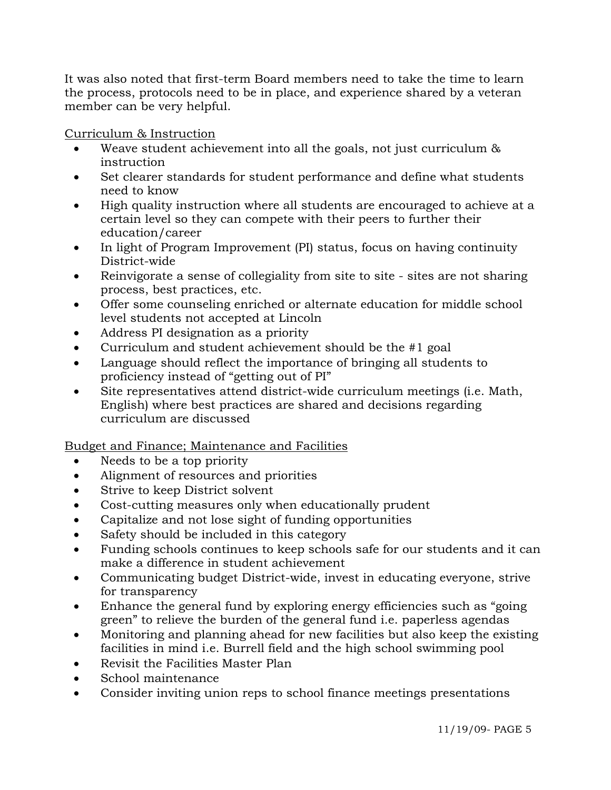It was also noted that first-term Board members need to take the time to learn the process, protocols need to be in place, and experience shared by a veteran member can be very helpful.

Curriculum & Instruction

- Weave student achievement into all the goals, not just curriculum  $\&$ instruction
- Set clearer standards for student performance and define what students need to know
- High quality instruction where all students are encouraged to achieve at a certain level so they can compete with their peers to further their education/career
- In light of Program Improvement (PI) status, focus on having continuity District-wide
- Reinvigorate a sense of collegiality from site to site sites are not sharing process, best practices, etc.
- Offer some counseling enriched or alternate education for middle school level students not accepted at Lincoln
- Address PI designation as a priority
- Curriculum and student achievement should be the #1 goal
- Language should reflect the importance of bringing all students to proficiency instead of "getting out of PI"
- Site representatives attend district-wide curriculum meetings (i.e. Math, English) where best practices are shared and decisions regarding curriculum are discussed

Budget and Finance; Maintenance and Facilities

- Needs to be a top priority
- Alignment of resources and priorities
- Strive to keep District solvent
- Cost-cutting measures only when educationally prudent
- Capitalize and not lose sight of funding opportunities
- Safety should be included in this category
- Funding schools continues to keep schools safe for our students and it can make a difference in student achievement
- Communicating budget District-wide, invest in educating everyone, strive for transparency
- Enhance the general fund by exploring energy efficiencies such as "going" green" to relieve the burden of the general fund i.e. paperless agendas
- Monitoring and planning ahead for new facilities but also keep the existing facilities in mind i.e. Burrell field and the high school swimming pool
- Revisit the Facilities Master Plan
- School maintenance
- Consider inviting union reps to school finance meetings presentations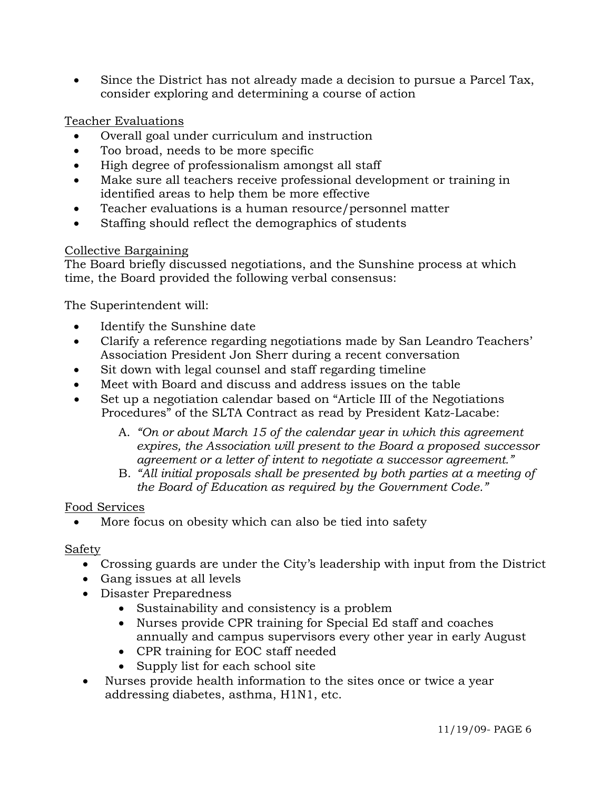• Since the District has not already made a decision to pursue a Parcel Tax, consider exploring and determining a course of action

# Teacher Evaluations

- Overall goal under curriculum and instruction
- Too broad, needs to be more specific
- High degree of professionalism amongst all staff
- Make sure all teachers receive professional development or training in identified areas to help them be more effective
- Teacher evaluations is a human resource/personnel matter
- Staffing should reflect the demographics of students

### Collective Bargaining

The Board briefly discussed negotiations, and the Sunshine process at which time, the Board provided the following verbal consensus:

The Superintendent will:

- Identify the Sunshine date
- Clarify a reference regarding negotiations made by San Leandro Teachers' Association President Jon Sherr during a recent conversation
- Sit down with legal counsel and staff regarding timeline
- Meet with Board and discuss and address issues on the table
- Set up a negotiation calendar based on "Article III of the Negotiations Procedures" of the SLTA Contract as read by President Katz-Lacabe:
	- A. *"On or about March 15 of the calendar year in which this agreement expires, the Association will present to the Board a proposed successor agreement or a letter of intent to negotiate a successor agreement."*
	- B. *"All initial proposals shall be presented by both parties at a meeting of the Board of Education as required by the Government Code."*

## Food Services

• More focus on obesity which can also be tied into safety

## Safety

- Crossing guards are under the City's leadership with input from the District
- Gang issues at all levels
- Disaster Preparedness
	- Sustainability and consistency is a problem
	- Nurses provide CPR training for Special Ed staff and coaches annually and campus supervisors every other year in early August
	- CPR training for EOC staff needed
	- Supply list for each school site
- Nurses provide health information to the sites once or twice a year addressing diabetes, asthma, H1N1, etc.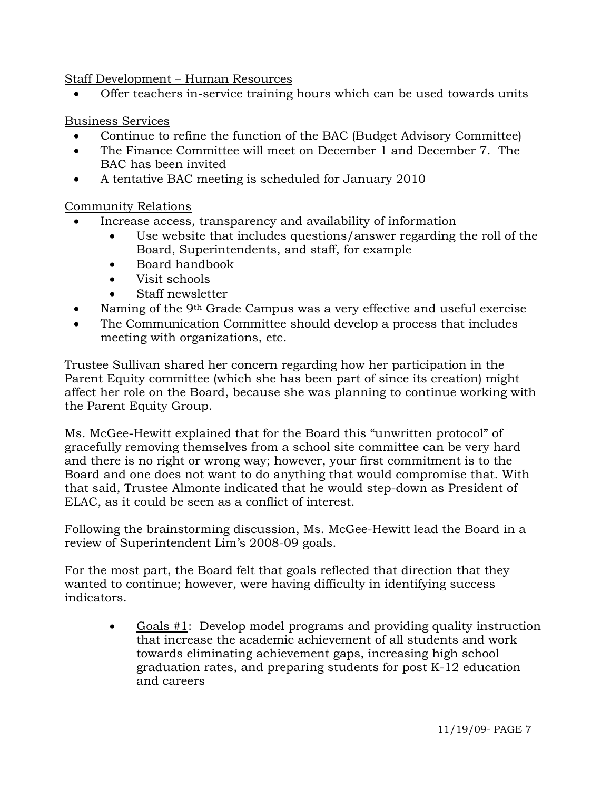Staff Development – Human Resources

• Offer teachers in-service training hours which can be used towards units

## Business Services

- Continue to refine the function of the BAC (Budget Advisory Committee)
- The Finance Committee will meet on December 1 and December 7. The BAC has been invited
- A tentative BAC meeting is scheduled for January 2010

# Community Relations

- Increase access, transparency and availability of information
	- Use website that includes questions/answer regarding the roll of the Board, Superintendents, and staff, for example
	- Board handbook
	- Visit schools
	- Staff newsletter
- Naming of the 9<sup>th</sup> Grade Campus was a very effective and useful exercise
- The Communication Committee should develop a process that includes meeting with organizations, etc.

Trustee Sullivan shared her concern regarding how her participation in the Parent Equity committee (which she has been part of since its creation) might affect her role on the Board, because she was planning to continue working with the Parent Equity Group.

Ms. McGee-Hewitt explained that for the Board this "unwritten protocol" of gracefully removing themselves from a school site committee can be very hard and there is no right or wrong way; however, your first commitment is to the Board and one does not want to do anything that would compromise that. With that said, Trustee Almonte indicated that he would step-down as President of ELAC, as it could be seen as a conflict of interest.

Following the brainstorming discussion, Ms. McGee-Hewitt lead the Board in a review of Superintendent Lim's 2008-09 goals.

For the most part, the Board felt that goals reflected that direction that they wanted to continue; however, were having difficulty in identifying success indicators.

• Goals #1: Develop model programs and providing quality instruction that increase the academic achievement of all students and work towards eliminating achievement gaps, increasing high school graduation rates, and preparing students for post K-12 education and careers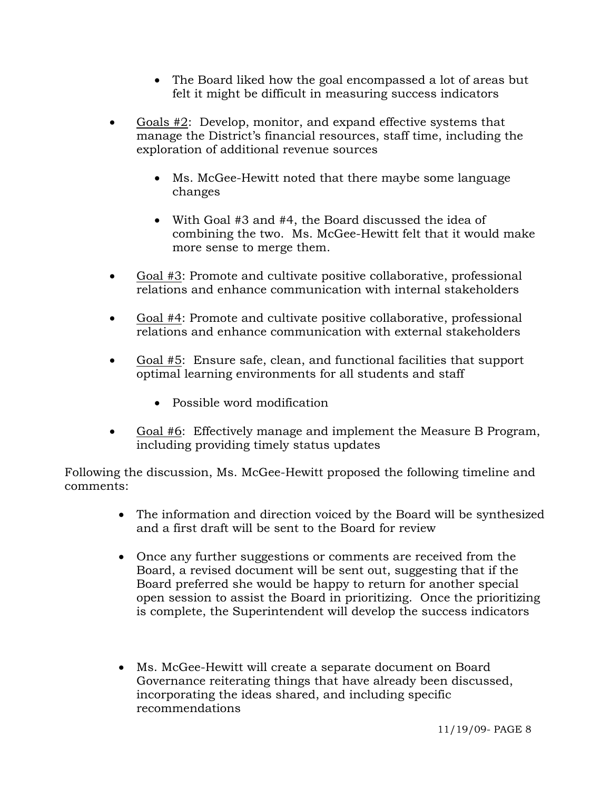- The Board liked how the goal encompassed a lot of areas but felt it might be difficult in measuring success indicators
- Goals #2: Develop, monitor, and expand effective systems that manage the District's financial resources, staff time, including the exploration of additional revenue sources
	- Ms. McGee-Hewitt noted that there maybe some language changes
	- With Goal #3 and #4, the Board discussed the idea of combining the two. Ms. McGee-Hewitt felt that it would make more sense to merge them.
- Goal #3: Promote and cultivate positive collaborative, professional relations and enhance communication with internal stakeholders
- Goal #4: Promote and cultivate positive collaborative, professional relations and enhance communication with external stakeholders
- Goal #5: Ensure safe, clean, and functional facilities that support optimal learning environments for all students and staff
	- Possible word modification
- Goal #6: Effectively manage and implement the Measure B Program, including providing timely status updates

Following the discussion, Ms. McGee-Hewitt proposed the following timeline and comments:

- The information and direction voiced by the Board will be synthesized and a first draft will be sent to the Board for review
- Once any further suggestions or comments are received from the Board, a revised document will be sent out, suggesting that if the Board preferred she would be happy to return for another special open session to assist the Board in prioritizing. Once the prioritizing is complete, the Superintendent will develop the success indicators
- Ms. McGee-Hewitt will create a separate document on Board Governance reiterating things that have already been discussed, incorporating the ideas shared, and including specific recommendations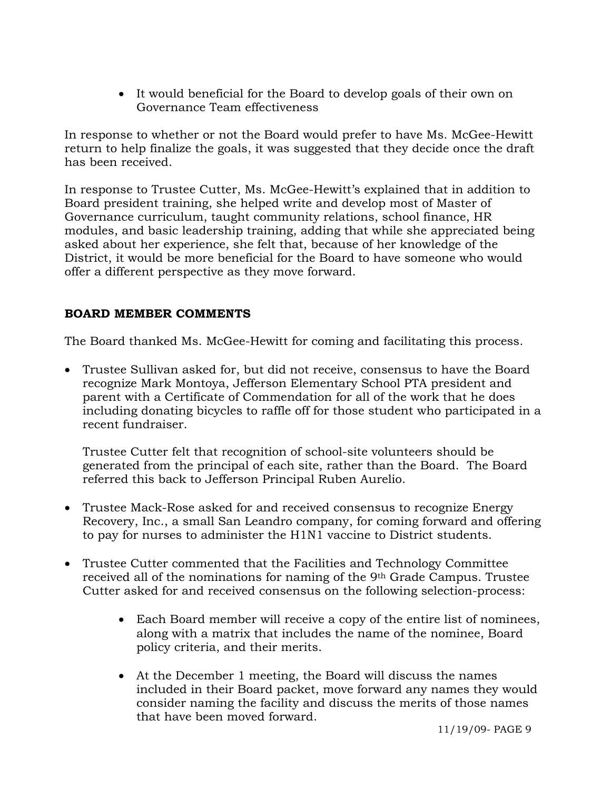• It would beneficial for the Board to develop goals of their own on Governance Team effectiveness

In response to whether or not the Board would prefer to have Ms. McGee-Hewitt return to help finalize the goals, it was suggested that they decide once the draft has been received.

In response to Trustee Cutter, Ms. McGee-Hewitt's explained that in addition to Board president training, she helped write and develop most of Master of Governance curriculum, taught community relations, school finance, HR modules, and basic leadership training, adding that while she appreciated being asked about her experience, she felt that, because of her knowledge of the District, it would be more beneficial for the Board to have someone who would offer a different perspective as they move forward.

## **BOARD MEMBER COMMENTS**

The Board thanked Ms. McGee-Hewitt for coming and facilitating this process.

• Trustee Sullivan asked for, but did not receive, consensus to have the Board recognize Mark Montoya, Jefferson Elementary School PTA president and parent with a Certificate of Commendation for all of the work that he does including donating bicycles to raffle off for those student who participated in a recent fundraiser.

Trustee Cutter felt that recognition of school-site volunteers should be generated from the principal of each site, rather than the Board. The Board referred this back to Jefferson Principal Ruben Aurelio.

- Trustee Mack-Rose asked for and received consensus to recognize Energy Recovery, Inc., a small San Leandro company, for coming forward and offering to pay for nurses to administer the H1N1 vaccine to District students.
- Trustee Cutter commented that the Facilities and Technology Committee received all of the nominations for naming of the 9th Grade Campus. Trustee Cutter asked for and received consensus on the following selection-process:
	- Each Board member will receive a copy of the entire list of nominees, along with a matrix that includes the name of the nominee, Board policy criteria, and their merits.
	- At the December 1 meeting, the Board will discuss the names included in their Board packet, move forward any names they would consider naming the facility and discuss the merits of those names that have been moved forward.

11/19/09- PAGE 9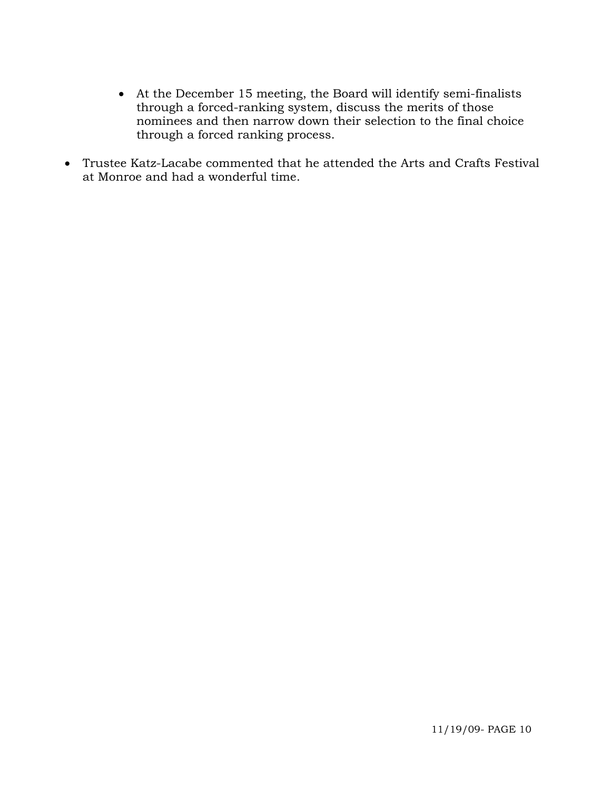- At the December 15 meeting, the Board will identify semi-finalists through a forced-ranking system, discuss the merits of those nominees and then narrow down their selection to the final choice through a forced ranking process.
- Trustee Katz-Lacabe commented that he attended the Arts and Crafts Festival at Monroe and had a wonderful time.